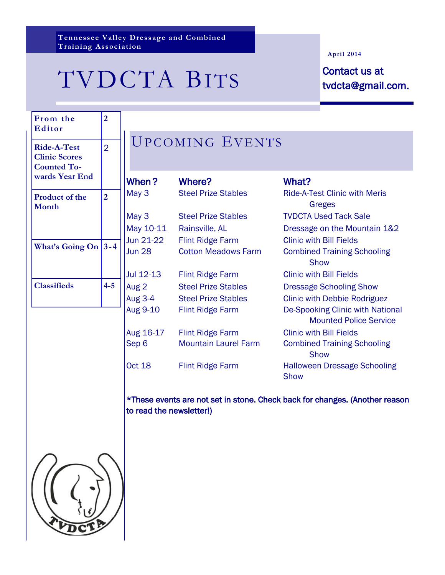**Tennessee Valley Dressage and Combined Training Association**

# TVDCTA BITS Contact us at<br>tvdcta@gmail.

#### **April 2014**

tvdcta@gmail.com.

| From the<br>Editor                                                                 | $\overline{2}$ |                  |
|------------------------------------------------------------------------------------|----------------|------------------|
| <b>Ride-A-Test</b><br><b>Clinic Scores</b><br><b>Counted To-</b><br>wards Year End | $\overline{2}$ |                  |
| <b>Product of the</b><br><b>Month</b>                                              | $\overline{2}$ | Ñ<br>ľ<br>N      |
| <b>What's Going On</b>                                                             | $3 - 4$        | J<br>j           |
| <b>Classifieds</b>                                                                 | $4 - 5$        | J<br>/<br>f<br>f |
|                                                                                    |                | ŀ                |

## UPCOMING EVENTS

| When?         | Where?                      | What?                                              |
|---------------|-----------------------------|----------------------------------------------------|
| May 3         | <b>Steel Prize Stables</b>  | <b>Ride-A-Test Clinic with Meris</b>               |
|               |                             | Greges                                             |
| May 3         | <b>Steel Prize Stables</b>  | <b>TVDCTA Used Tack Sale</b>                       |
| May 10-11     | Rainsville, AL              | Dressage on the Mountain 1&2                       |
| Jun 21-22     | <b>Flint Ridge Farm</b>     | <b>Clinic with Bill Fields</b>                     |
| <b>Jun 28</b> | <b>Cotton Meadows Farm</b>  | <b>Combined Training Schooling</b>                 |
|               |                             | <b>Show</b>                                        |
| Jul 12-13     | <b>Flint Ridge Farm</b>     | <b>Clinic with Bill Fields</b>                     |
| Aug 2         | <b>Steel Prize Stables</b>  | <b>Dressage Schooling Show</b>                     |
| Aug 3-4       | <b>Steel Prize Stables</b>  | <b>Clinic with Debbie Rodriguez</b>                |
| Aug 9-10      | <b>Flint Ridge Farm</b>     | De-Spooking Clinic with National                   |
|               |                             | <b>Mounted Police Service</b>                      |
| Aug 16-17     | <b>Flint Ridge Farm</b>     | <b>Clinic with Bill Fields</b>                     |
| Sep 6         | <b>Mountain Laurel Farm</b> | <b>Combined Training Schooling</b><br><b>Show</b>  |
| Oct 18        | <b>Flint Ridge Farm</b>     | <b>Halloween Dressage Schooling</b><br><b>Show</b> |
|               |                             |                                                    |

\*These events are not set in stone. Check back for changes. (Another reason to read the newsletter!)

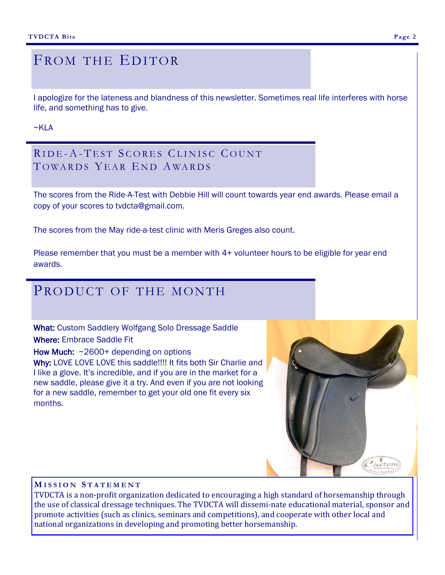#### **Page 2**

#### FROM THE EDITOR

I apologize for the lateness and blandness of this newsletter. Sometimes real life interferes with horse life, and something has to give.

#### $~\sim$ KIA

#### RIDE-A-TEST SCORES CLINISC COUNT TOWARDS YEAR END AWARDS

The scores from the Ride-A-Test with Debbie Hill will count towards year end awards. Please email a copy of your scores to tvdcta@gmail.com.

The scores from the May ride-a-test clinic with Meris Greges also count.

Please remember that you must be a member with 4+ volunteer hours to be eligible for year end awards.

### PRODUCT OF THE MONTH

What: Custom Saddlery Wolfgang Solo Dressage Saddle Where: Embrace Saddle Fit

How Much: ~2600+ depending on options

Why: LOVE LOVE LOVE this saddle!!!! It fits both Sir Charlie and I like a glove. It's incredible, and if you are in the market for a new saddle, please give it a try. And even if you are not looking for a new saddle, remember to get your old one fit every six months.



#### **M I S S I O N S T A T E M E N T**

TVDCTA is a non-profit organization dedicated to encouraging a high standard of horsemanship through the use of classical dressage techniques. The TVDCTA will dissemi-nate educational material, sponsor and promote activities (such as clinics, seminars and competitions), and cooperate with other local and national organizations in developing and promoting better horsemanship.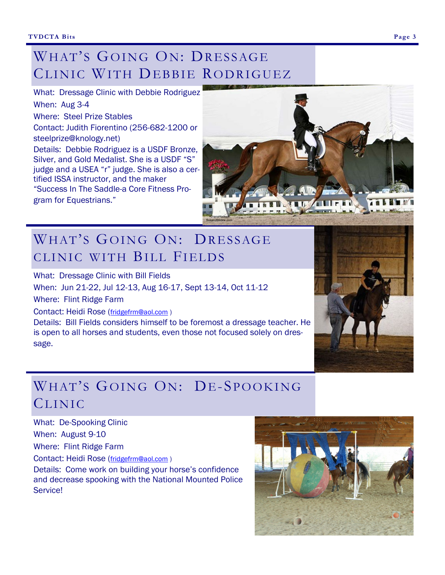## WHAT'S GOING ON: DRESSAGE CLINIC WITH DEBBIE RODRIGUEZ

What: Dressage Clinic with Debbie Rodriguez When: Aug 3-4 Where: Steel Prize Stables Contact: Judith Fiorentino (256-682-1200 or steelprize@knology.net) Details: Debbie Rodriguez is a USDF Bronze, Silver, and Gold Medalist. She is a USDF "S" judge and a USEA "r" judge. She is also a certified ISSA instructor, and the maker "Success In The Saddle-a Core Fitness Program for Equestrians."



## WHAT'S GOING ON: DRESSAGE CLINIC WITH BILL FIELDS

What: Dressage Clinic with Bill Fields

When: Jun 21-22, Jul 12-13, Aug 16-17, Sept 13-14, Oct 11-12

Where: Flint Ridge Farm

Contact: Heidi Rose ([fridgefrm@aol.com](mailto:fridgefrm@aol.com) )

Details: Bill Fields considers himself to be foremost a dressage teacher. He is open to all horses and students, even those not focused solely on dressage.

## WHAT'S GOING ON: DE-SPOOKING CLINIC

What: De-Spooking Clinic

When: August 9-10

Where: Flint Ridge Farm

Contact: Heidi Rose ([fridgefrm@aol.com](mailto:fridgefrm@aol.com) )

Details: Come work on building your horse's confidence and decrease spooking with the National Mounted Police Service!

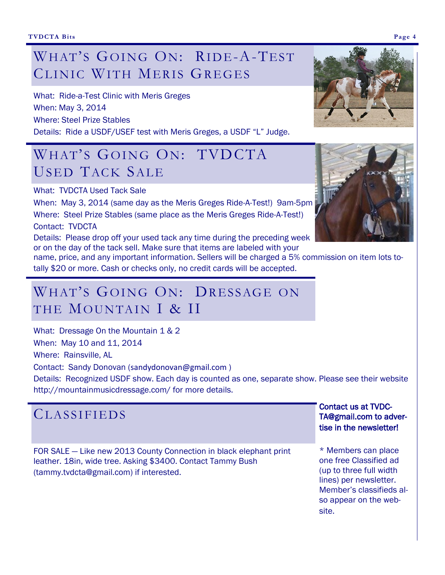## WHAT'S GOING ON: RIDE-A-TEST CLINIC WITH MERIS GREGES

What: Ride-a-Test Clinic with Meris Greges When: May 3, 2014 Where: Steel Prize Stables Details: Ride a USDF/USEF test with Meris Greges, a USDF "L" Judge.

## WHAT'S GOING ON: TVDCTA USED TACK SALE

What: TVDCTA Used Tack Sale

When: May 3, 2014 (same day as the Meris Greges Ride-A-Test!) 9am-5pm Where: Steel Prize Stables (same place as the Meris Greges Ride-A-Test!)

#### Contact: TVDCTA

Details: Please drop off your used tack any time during the preceding week or on the day of the tack sell. Make sure that items are labeled with your

name, price, and any important information. Sellers will be charged a 5% commission on item lots totally \$20 or more. Cash or checks only, no credit cards will be accepted.

## WHAT'S GOING ON: DRESSAGE ON THE MOUNTAIN I & II

What: Dressage On the Mountain 1 & 2 When: May 10 and 11, 2014 Where: Rainsville, AL

Contact: Sandy Donovan (sandydonovan@gmail.com )

Details: Recognized USDF show. Each day is counted as one, separate show. Please see their website http://mountainmusicdressage.com/ for more details.

| <b>CLASSIFIEDS</b>                                                                                                                                                           | <b>Contact us at TVDC-</b><br>TA@gmail.com to adver-<br>tise in the newsletter!                                                                                  |
|------------------------------------------------------------------------------------------------------------------------------------------------------------------------------|------------------------------------------------------------------------------------------------------------------------------------------------------------------|
| FOR SALE – Like new 2013 County Connection in black elephant print<br>leather. 18in, wide tree. Asking \$3400. Contact Tammy Bush<br>(tammy.tvdcta@gmail.com) if interested. | * Members can place<br>one free Classified ad<br>(up to three full width<br>lines) per newsletter.<br>Member's classifieds al-<br>so appear on the web-<br>site. |